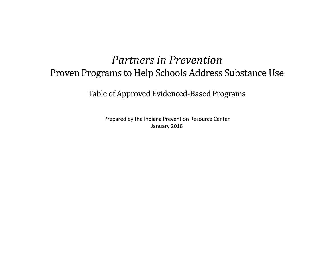## *Partners in Prevention* Proven Programs to Help Schools Address Substance Use

Table of Approved Evidenced-Based Programs

Prepared by the Indiana Prevention Resource Center January 2018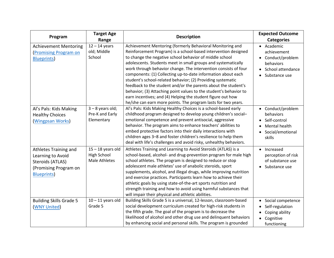| Program                                                                                                      | <b>Target Age</b><br>Range                                 | <b>Description</b>                                                                                                                                                                                                                                                                                                                                                                                                                                                                                                                                                                                                                                                                                                               | <b>Expected Outcome</b><br><b>Categories</b>                                                      |
|--------------------------------------------------------------------------------------------------------------|------------------------------------------------------------|----------------------------------------------------------------------------------------------------------------------------------------------------------------------------------------------------------------------------------------------------------------------------------------------------------------------------------------------------------------------------------------------------------------------------------------------------------------------------------------------------------------------------------------------------------------------------------------------------------------------------------------------------------------------------------------------------------------------------------|---------------------------------------------------------------------------------------------------|
| <b>Achievement Mentoring</b><br><b>Promising Program on</b><br><b>Blueprints</b> )                           | $12 - 14$ years<br>old; Middle<br>School                   | Achievement Mentoring (formerly Behavioral Monitoring and<br>Reinforcement Program) is a school-based intervention designed<br>to change the negative school behavior of middle school<br>adolescents. Students meet in small groups and systematically<br>work through behavior change. The intervention consists of four<br>components: (1) Collecting up-to-date information about each<br>student's school-related behavior; (2) Providing systematic<br>feedback to the student and/or the parents about the student's<br>behavior; (3) Attaching point values to the student's behavior to<br>earn incentives; and (4) Helping the student figure out how<br>he/she can earn more points. The program lasts for two years. | • Academic<br>achievement<br>Conduct/problem<br>behaviors<br>• School attendance<br>Substance use |
| Al's Pals: Kids Making<br><b>Healthy Choices</b><br>(Wingpsan Works)                                         | $3 - 8$ years old;<br>Pre-K and Early<br>Elementary        | Al's Pals: Kids Making Healthy Choices is a school-based early<br>childhood program designed to develop young children's social-<br>emotional competence and prevent antisocial, aggressive<br>behavior. The program aims to enhance teachers' abilities to<br>embed protective factors into their daily interactions with<br>children ages 3-8 and foster children's resilience to help them<br>deal with life's challenges and avoid risky, unhealthy behaviors.                                                                                                                                                                                                                                                               | • Conduct/problem<br>behaviors<br>• Self-control<br>Mental health<br>Social/emotional<br>skills   |
| Athletes Training and<br>Learning to Avoid<br>Steroids (ATLAS)<br>(Promising Program on<br><b>Blueprints</b> | $15 - 18$ years old<br>High School<br><b>Male Athletes</b> | Athletes Training and Learning to Avoid Steroids (ATLAS) is a<br>school-based, alcohol- and drug-prevention program for male high<br>school athletes. The program is designed to reduce or stop<br>adolescent male athletes' use of anabolic steroids, sport<br>supplements, alcohol, and illegal drugs, while improving nutrition<br>and exercise practices. Participants learn how to achieve their<br>athletic goals by using state-of-the-art sports nutrition and<br>strength training and how to avoid using harmful substances that<br>will impair their physical and athletic abilities.                                                                                                                                 | Increased<br>perception of risk<br>of substance use<br>Substance use                              |
| <b>Building Skills Grade 5</b><br>(WNY United)                                                               | $10 - 11$ years old<br>Grade 5                             | Building Skills Grade 5 is a universal, 12-lesson, classroom-based<br>social development curriculum created for high-risk students in<br>the fifth grade. The goal of the program is to decrease the<br>likelihood of alcohol and other drug use and delinquent behaviors<br>by enhancing social and personal skills. The program is grounded                                                                                                                                                                                                                                                                                                                                                                                    | • Social competence<br>Self-regulation<br>Coping ability<br>Cognitive<br>functioning              |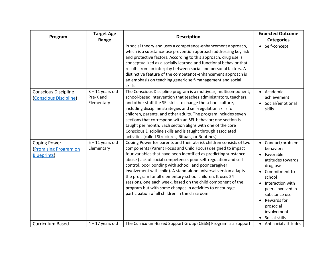| Program                                                                 | <b>Target Age</b><br>Range                    | <b>Description</b>                                                                                                                                                                                                                                                                                                                                                                                                                                                                                                                                                                                                                                   | <b>Expected Outcome</b><br><b>Categories</b>                                                                                                                                                                                    |
|-------------------------------------------------------------------------|-----------------------------------------------|------------------------------------------------------------------------------------------------------------------------------------------------------------------------------------------------------------------------------------------------------------------------------------------------------------------------------------------------------------------------------------------------------------------------------------------------------------------------------------------------------------------------------------------------------------------------------------------------------------------------------------------------------|---------------------------------------------------------------------------------------------------------------------------------------------------------------------------------------------------------------------------------|
|                                                                         |                                               | in social theory and uses a competence-enhancement approach,<br>which is a substance-use prevention approach addressing key risk<br>and protective factors. According to this approach, drug use is<br>conceptualized as a socially learned and functional behavior that<br>results from an interplay between social and personal factors. A<br>distinctive feature of the competence-enhancement approach is<br>an emphasis on teaching generic self-management and social<br>skills.                                                                                                                                                               | • Self-concept                                                                                                                                                                                                                  |
| <b>Conscious Discipline</b><br>(Conscious Discipline)                   | $3 - 11$ years old<br>Pre-K and<br>Elementary | The Conscious Discipline program is a multiyear, multicomponent,<br>school-based intervention that teaches administrators, teachers,<br>and other staff the SEL skills to change the school culture,<br>including discipline strategies and self-regulation skills for<br>children, parents, and other adults. The program includes seven<br>sections that correspond with an SEL behavior; one section is<br>taught per month. Each section aligns with one of the core<br>Conscious Discipline skills and is taught through associated<br>activities (called Structures, Rituals, or Routines).                                                    | • Academic<br>achievement<br>• Social/emotional<br>skills                                                                                                                                                                       |
| <b>Coping Power</b><br><b>Promising Program on</b><br><b>Blueprints</b> | $5 - 11$ years old<br>Elementary              | Coping Power for parents and their at-risk children consists of two<br>components (Parent Focus and Child Focus) designed to impact<br>four variables that have been identified as predicting substance<br>abuse (lack of social competence, poor self-regulation and self-<br>control, poor bonding with school, and poor caregiver<br>involvement with child). A stand-alone universal version adapts<br>the program for all elementary-school children. It uses 24<br>sessions, one each week, based on the child component of the<br>program but with some changes in activities to encourage<br>participation of all children in the classroom. | • Conduct/problem<br>behaviors<br>Favorable<br>attitudes towards<br>drug use<br>Commitment to<br>school<br>Interaction with<br>peers involved in<br>substance use<br>Rewards for<br>prosocial<br>involvement<br>• Social skills |
| <b>Curriculum Based</b>                                                 | $4 - 17$ years old                            | The Curriculum-Based Support Group (CBSG) Program is a support                                                                                                                                                                                                                                                                                                                                                                                                                                                                                                                                                                                       | • Antisocial attitudes                                                                                                                                                                                                          |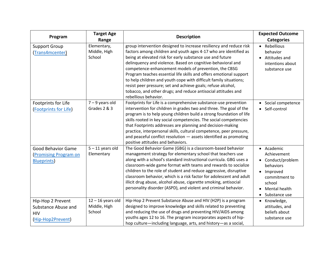| Program                                                                         | <b>Target Age</b><br>Range                    | <b>Description</b>                                                                                                                                                                                                                                                                                                                                                                                                                                                                                                                                                                                                              | <b>Expected Outcome</b><br><b>Categories</b>                                                                                             |
|---------------------------------------------------------------------------------|-----------------------------------------------|---------------------------------------------------------------------------------------------------------------------------------------------------------------------------------------------------------------------------------------------------------------------------------------------------------------------------------------------------------------------------------------------------------------------------------------------------------------------------------------------------------------------------------------------------------------------------------------------------------------------------------|------------------------------------------------------------------------------------------------------------------------------------------|
| <b>Support Group</b><br>(Trans4mcenter)                                         | Elementary,<br>Middle, High<br>School         | group intervention designed to increase resiliency and reduce risk<br>factors among children and youth ages 4-17 who are identified as<br>being at elevated risk for early substance use and future<br>delinquency and violence. Based on cognitive-behavioral and<br>competence-enhancement models of prevention, the CBSG<br>Program teaches essential life skills and offers emotional support<br>to help children and youth cope with difficult family situations;<br>resist peer pressure; set and achieve goals; refuse alcohol,<br>tobacco, and other drugs; and reduce antisocial attitudes and<br>rebellious behavior. | • Rebellious<br>behavior<br>• Attitudes and<br>intentions about<br>substance use                                                         |
| Footprints for Life<br>(Footprints for Life)                                    | $7 - 9$ years old<br>Grades 2 & 3             | Footprints for Life is a comprehensive substance-use prevention<br>intervention for children in grades two and three. The goal of the<br>program is to help young children build a strong foundation of life<br>skills rooted in key social competencies. The social competencies<br>that Footprints addresses are planning and decision-making<br>practice, interpersonal skills, cultural competence, peer pressure,<br>and peaceful conflict resolution - assets identified as promoting<br>positive attitudes and behaviors.                                                                                                | • Social competence<br>Self-control                                                                                                      |
| <b>Good Behavior Game</b><br><b>Promising Program on</b><br><b>Blueprints</b> ) | $5 - 11$ years old<br>Elementary              | The Good Behavior Game (GBG) is a classroom-based behavior<br>management strategy for elementary school that teachers use<br>along with a school's standard instructional curricula. GBG uses a<br>classroom-wide game format with teams and rewards to socialize<br>children to the role of student and reduce aggressive, disruptive<br>classroom behavior, which is a risk factor for adolescent and adult<br>illicit drug abuse, alcohol abuse, cigarette smoking, antisocial<br>personality disorder (ASPD), and violent and criminal behavior.                                                                            | • Academic<br>Achievement<br>• Conduct/problem<br>behaviors<br>Improved<br>commitment to<br>school<br>• Mental health<br>• Substance use |
| Hip-Hop 2 Prevent<br>Substance Abuse and<br><b>HIV</b><br>(Hip-Hop2Prevent)     | $12 - 16$ years old<br>Middle, High<br>School | Hip-Hop 2 Prevent Substance Abuse and HIV (H2P) is a program<br>designed to improve knowledge and skills related to preventing<br>and reducing the use of drugs and preventing HIV/AIDS among<br>youths ages 12 to 16. The program incorporates aspects of hip-<br>hop culture—including language, arts, and history—as a social,                                                                                                                                                                                                                                                                                               | Knowledge,<br>attitudes, and<br>beliefs about<br>substance use                                                                           |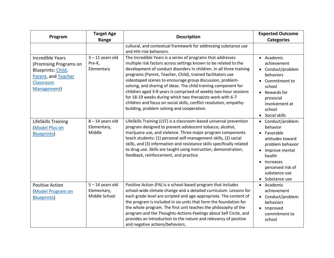| Program                                                                                                                          | <b>Target Age</b><br>Range                         | <b>Description</b>                                                                                                                                                                                                                                                                                                                                                                                                                                                                                                                                                                                                                                         | <b>Expected Outcome</b><br><b>Categories</b>                                                                                                                                           |
|----------------------------------------------------------------------------------------------------------------------------------|----------------------------------------------------|------------------------------------------------------------------------------------------------------------------------------------------------------------------------------------------------------------------------------------------------------------------------------------------------------------------------------------------------------------------------------------------------------------------------------------------------------------------------------------------------------------------------------------------------------------------------------------------------------------------------------------------------------------|----------------------------------------------------------------------------------------------------------------------------------------------------------------------------------------|
|                                                                                                                                  |                                                    | cultural, and contextual framework for addressing substance use<br>and HIV-risk behaviors.                                                                                                                                                                                                                                                                                                                                                                                                                                                                                                                                                                 |                                                                                                                                                                                        |
| <b>Incredible Years</b><br>(Promising Programs on<br>Blueprints: Child,<br>Parent, and Teacher<br>Classroom<br><b>Management</b> | $3 - 11$ years old<br>Pre-K,<br>Elementary         | The Incredible Years is a series of programs that addresses<br>multiple risk factors across settings known to be related to the<br>development of conduct disorders in children. In all three training<br>programs (Parent, Teacher, Child), trained facilitators use<br>videotaped scenes to encourage group discussion, problem-<br>solving, and sharing of ideas. The child training component for<br>children aged 3-8 years is comprised of weekly two-hour sessions<br>for 18-19 weeks during which two therapists work with 6-7<br>children and focus on social skills, conflict resolution, empathy-<br>building, problem solving and cooperation. | • Academic<br>achievement<br>• Conduct/problem<br>behaviors<br>Commitment to<br>school<br>• Rewards for<br>prosocial<br>involvement at<br>school<br>• Social skills                    |
| LifeSkills Training<br><b>Model Plus on</b><br><b>Blueprints</b> )                                                               | $8 - 14$ years old<br>Elementary,<br>Middle        | LifeSkills Training (LST) is a classroom-based universal prevention<br>program designed to prevent adolescent tobacco, alcohol,<br>marijuana use, and violence. Three major program components<br>teach students: (1) personal self-management skills, (2) social<br>skills, and (3) information and resistance skills specifically related<br>to drug use. Skills are taught using instruction, demonstration,<br>feedback, reinforcement, and practice.                                                                                                                                                                                                  | • Conduct/problem<br>behavior<br>Favorable<br>attitudes toward<br>problem behavior<br>• Improve mental<br>health<br>Increases<br>perceived risk of<br>substance use<br>• Substance use |
| <b>Positive Action</b><br><b>Model Program on</b><br><b>Blueprints</b>                                                           | $5 - 14$ years old<br>Elementary,<br>Middle School | Positive Action (PA) is a school-based program that includes<br>school-wide climate change and a detailed curriculum. Lessons for<br>each grade level are scripted and age-appropriate. The content of<br>the program is included in six units that form the foundation for<br>the whole program. The first unit teaches the philosophy of the<br>program and the Thoughts-Actions-Feelings about Self Circle, and<br>provides an introduction to the nature and relevancy of positive<br>and negative actions/behaviors.                                                                                                                                  | • Academic<br>achievement<br>Conduct/problem<br>behaviors<br>• Improved<br>commitment to<br>school                                                                                     |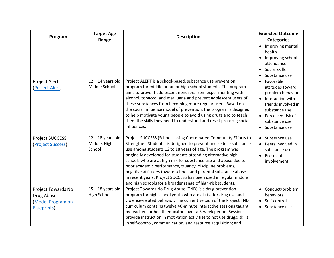| Program                                                                          | <b>Target Age</b><br>Range                    | <b>Description</b>                                                                                                                                                                                                                                                                                                                                                                                                                                                                                                                                                                                    | <b>Expected Outcome</b><br><b>Categories</b>                                                                                                                               |
|----------------------------------------------------------------------------------|-----------------------------------------------|-------------------------------------------------------------------------------------------------------------------------------------------------------------------------------------------------------------------------------------------------------------------------------------------------------------------------------------------------------------------------------------------------------------------------------------------------------------------------------------------------------------------------------------------------------------------------------------------------------|----------------------------------------------------------------------------------------------------------------------------------------------------------------------------|
|                                                                                  |                                               |                                                                                                                                                                                                                                                                                                                                                                                                                                                                                                                                                                                                       | Improving mental<br>health<br>Improving school<br>attendance<br>Social skills<br>Substance use                                                                             |
| Project Alert<br>(Project Alert)                                                 | $12 - 14$ years old<br>Middle School          | Project ALERT is a school-based, substance use prevention<br>program for middle or junior high school students. The program<br>aims to prevent adolescent nonusers from experimenting with<br>alcohol, tobacco, and marijuana and prevent adolescent users of<br>these substances from becoming more regular users. Based on<br>the social influence model of prevention, the program is designed<br>to help motivate young people to avoid using drugs and to teach<br>them the skills they need to understand and resist pro-drug social<br>influences.                                             | • Favorable<br>attitudes toward<br>problem behavior<br>Interaction with<br>friends involved in<br>substance use<br>• Perceived risk of<br>substance use<br>• Substance use |
| Project SUCCESS<br>(Project Success)                                             | $12 - 18$ years old<br>Middle, High<br>School | Project SUCCESS (Schools Using Coordinated Community Efforts to<br>Strengthen Students) is designed to prevent and reduce substance<br>use among students 12 to 18 years of age. The program was<br>originally developed for students attending alternative high<br>schools who are at high risk for substance use and abuse due to<br>poor academic performance, truancy, discipline problems,<br>negative attitudes toward school, and parental substance abuse.<br>In recent years, Project SUCCESS has been used in regular middle<br>and high schools for a broader range of high-risk students. | • Substance use<br>Peers involved in<br>substance use<br>• Prosocial<br>involvement                                                                                        |
| Project Towards No<br>Drug Abuse<br><b>Model Program on</b><br><b>Blueprints</b> | $15 - 18$ years old<br><b>High School</b>     | Project Towards No Drug Abuse (TND) is a drug prevention<br>program for high school youth who are at risk for drug use and<br>violence-related behavior. The current version of the Project TND<br>curriculum contains twelve 40-minute interactive sessions taught<br>by teachers or health educators over a 3-week period. Sessions<br>provide instruction in motivation activities to not use drugs; skills<br>in self-control, communication, and resource acquisition; and                                                                                                                       | • Conduct/problem<br>behaviors<br>• Self-control<br>Substance use                                                                                                          |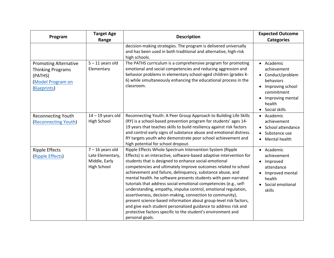| Program                                                                                                               | <b>Target Age</b><br>Range                                                    | <b>Description</b>                                                                                                                                                                                                                                                                                                                                                                                                                                                                                                                                                                                                                                                                                                                                                                                                           | <b>Expected Outcome</b><br><b>Categories</b>                                                                                                   |
|-----------------------------------------------------------------------------------------------------------------------|-------------------------------------------------------------------------------|------------------------------------------------------------------------------------------------------------------------------------------------------------------------------------------------------------------------------------------------------------------------------------------------------------------------------------------------------------------------------------------------------------------------------------------------------------------------------------------------------------------------------------------------------------------------------------------------------------------------------------------------------------------------------------------------------------------------------------------------------------------------------------------------------------------------------|------------------------------------------------------------------------------------------------------------------------------------------------|
|                                                                                                                       |                                                                               | decision-making strategies. The program is delivered universally<br>and has been used in both traditional and alternative, high-risk<br>high schools.                                                                                                                                                                                                                                                                                                                                                                                                                                                                                                                                                                                                                                                                        |                                                                                                                                                |
| <b>Promoting Alternative</b><br><b>Thinking Programs</b><br>(PATHS)<br><b>Model Program on</b><br><b>Blueprints</b> ) | $5 - 11$ years old<br>Elementary                                              | The PATHS curriculum is a comprehensive program for promoting<br>emotional and social competencies and reducing aggression and<br>behavior problems in elementary school-aged children (grades K-<br>6) while simultaneously enhancing the educational process in the<br>classroom.                                                                                                                                                                                                                                                                                                                                                                                                                                                                                                                                          | • Academic<br>achievement<br>• Conduct/problem<br>behaviors<br>Improving school<br>commitment<br>Improving mental<br>health<br>• Social skills |
| Reconnecting Youth<br>(Reconnecting Youth)                                                                            | $14 - 19$ years old<br>High School                                            | Reconnecting Youth: A Peer Group Approach to Building Life Skills<br>(RY) is a school-based prevention program for students' ages 14-<br>19 years that teaches skills to build resiliency against risk factors<br>and control early signs of substance abuse and emotional distress.<br>RY targets youth who demonstrate poor school achievement and<br>high potential for school dropout.                                                                                                                                                                                                                                                                                                                                                                                                                                   | • Academic<br>achievement<br>School attendance<br>Substance use<br>Mental health<br>$\bullet$                                                  |
| <b>Ripple Effects</b><br>(Ripple Effects)                                                                             | $7 - 16$ years old<br>Late Elementary,<br>Middle, Early<br><b>High School</b> | Ripple Effects Whole Spectrum Intervention System (Ripple<br>Effects) is an interactive, software-based adaptive intervention for<br>students that is designed to enhance social-emotional<br>competencies and ultimately improve outcomes related to school<br>achievement and failure, delinquency, substance abuse, and<br>mental health. he software presents students with peer-narrated<br>tutorials that address social-emotional competencies (e.g., self-<br>understanding, empathy, impulse control, emotional regulation,<br>assertiveness, decision-making, connection to community),<br>present science-based information about group-level risk factors,<br>and give each student personalized guidance to address risk and<br>protective factors specific to the student's environment and<br>personal goals. | • Academic<br>achievement<br>• Improved<br>attendance<br>Improved mental<br>health<br>Social emotional<br>skills                               |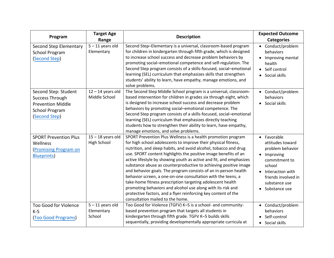| Program                                                                                                       | <b>Target Age</b><br>Range                 | <b>Description</b>                                                                                                                                                                                                                                                                                                                                                                                                                                                                                                                                                                                                                                                                                                                                                                     | <b>Expected Outcome</b><br><b>Categories</b>                                                                                                                                   |
|---------------------------------------------------------------------------------------------------------------|--------------------------------------------|----------------------------------------------------------------------------------------------------------------------------------------------------------------------------------------------------------------------------------------------------------------------------------------------------------------------------------------------------------------------------------------------------------------------------------------------------------------------------------------------------------------------------------------------------------------------------------------------------------------------------------------------------------------------------------------------------------------------------------------------------------------------------------------|--------------------------------------------------------------------------------------------------------------------------------------------------------------------------------|
| Second Step Elementary<br><b>School Program</b><br>(Second Step)                                              | $5 - 11$ years old<br>Elementary           | Second Step-Elementary is a universal, classroom-based program<br>for children in kindergarten through fifth grade, which is designed<br>to increase school success and decrease problem behaviors by<br>promoting social-emotional competence and self-regulation. The<br>Second Step program consists of a skills-focused, social-emotional<br>learning (SEL) curriculum that emphasizes skills that strengthen<br>students' ability to learn, have empathy, manage emotions, and<br>solve problems.                                                                                                                                                                                                                                                                                 | • Conduct/problem<br>behaviors<br>• Improving mental<br>health<br>• Self control<br>Social skills<br>$\bullet$                                                                 |
| Second Step: Student<br>Success Through<br><b>Prevention Middle</b><br><b>School Program</b><br>(Second Step) | $12 - 14$ years old<br>Middle School       | The Second Step Middle School program is a universal, classroom-<br>based intervention for children in grades six through eight, which<br>is designed to increase school success and decrease problem<br>behaviors by promoting social-emotional competence. The<br>Second Step program consists of a skills-focused, social-emotional<br>learning (SEL) curriculum that emphasizes directly teaching<br>students how to strengthen their ability to learn, have empathy,<br>manage emotions, and solve problems.                                                                                                                                                                                                                                                                      | • Conduct/problem<br>behaviors<br>• Social skills                                                                                                                              |
| <b>SPORT Prevention Plus</b><br>Wellness<br><b>Promising Program on</b><br><b>Blueprints</b> )                | $15 - 18$ years old<br>High School         | SPORT Prevention Plus Wellness is a health promotion program<br>for high school adolescents to improve their physical fitness,<br>nutrition, and sleep habits, and avoid alcohol, tobacco and drug<br>use. SPORT content highlights the positive image benefits of an<br>active lifestyle by showing youth as active and fit, and emphasizes<br>substance abuse as counterproductive to achieving positive image<br>and behavior goals. The program consists of an in-person health<br>behavior screen, a one-on-one consultation with the teens, a<br>take-home fitness prescription targeting adolescent health<br>promoting behaviors and alcohol use along with its risk and<br>protective factors, and a flyer reinforcing key content of the<br>consultation mailed to the home. | • Favorable<br>attitudes toward<br>problem behavior<br>• Improving<br>commitment to<br>school<br>• Interaction with<br>friends involved in<br>substance use<br>• Substance use |
| <b>Too Good for Violence</b><br>$K-5$<br>(Too Good Programs)                                                  | $5 - 11$ years old<br>Elementary<br>School | Too Good for Violence (TGFV) K-5 is a school- and community-<br>based prevention program that targets all students in<br>kindergarten through fifth grade. TGFV K-5 builds skills<br>sequentially, providing developmentally appropriate curricula at                                                                                                                                                                                                                                                                                                                                                                                                                                                                                                                                  | • Conduct/problem<br>behaviors<br>Self-control<br>• Social skills                                                                                                              |